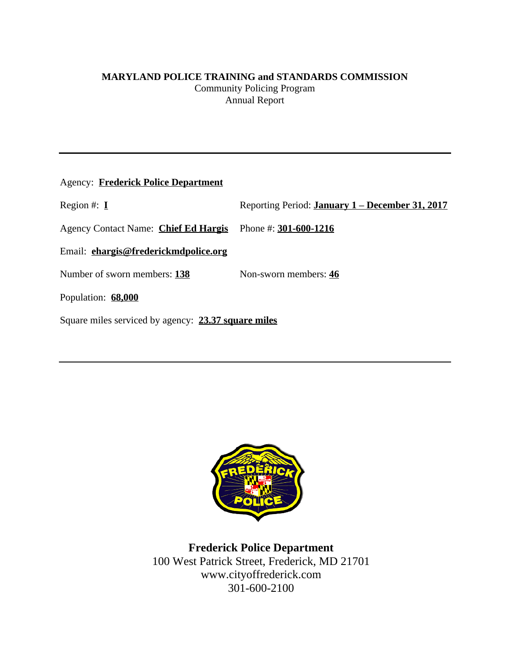# **MARYLAND POLICE TRAINING and STANDARDS COMMISSION**

Community Policing Program Annual Report

| <b>Agency: Frederick Police Department</b>          |                                                        |
|-----------------------------------------------------|--------------------------------------------------------|
| Region #: $I$                                       | Reporting Period: <b>January 1 – December 31, 2017</b> |
| Agency Contact Name: Chief Ed Hargis                | Phone #: $301-600-1216$                                |
| Email: ehargis@frederickmdpolice.org                |                                                        |
| Number of sworn members: 138                        | Non-sworn members: 46                                  |
| Population: 68,000                                  |                                                        |
| Square miles serviced by agency: 23.37 square miles |                                                        |



**Frederick Police Department** 100 West Patrick Street, Frederick, MD 21701 www.cityoffrederick.com 301-600-2100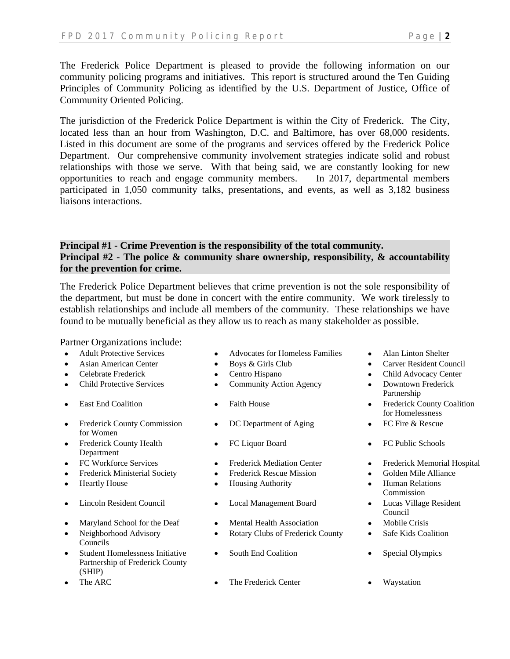The Frederick Police Department is pleased to provide the following information on our community policing programs and initiatives. This report is structured around the Ten Guiding Principles of Community Policing as identified by the U.S. Department of Justice, Office of Community Oriented Policing.

The jurisdiction of the Frederick Police Department is within the City of Frederick. The City, located less than an hour from Washington, D.C. and Baltimore, has over 68,000 residents. Listed in this document are some of the programs and services offered by the Frederick Police Department. Our comprehensive community involvement strategies indicate solid and robust relationships with those we serve. With that being said, we are constantly looking for new opportunities to reach and engage community members. In 2017, departmental members participated in 1,050 community talks, presentations, and events, as well as 3,182 business liaisons interactions.

# **Principal #1 - Crime Prevention is the responsibility of the total community. Principal #2 - The police & community share ownership, responsibility, & accountability for the prevention for crime.**

The Frederick Police Department believes that crime prevention is not the sole responsibility of the department, but must be done in concert with the entire community. We work tirelessly to establish relationships and include all members of the community. These relationships we have found to be mutually beneficial as they allow us to reach as many stakeholder as possible.

Partner Organizations include:

- 
- 
- 
- 
- 
- Frederick County Commission for Women
- Frederick County Health Department
- 
- Frederick Ministerial Society Frederick Rescue Mission Golden Mile Alliance
- 
- 
- Maryland School for the Deaf Mental Health Association Mobile Crisis
- Neighborhood Advisory Councils
- Student Homelessness Initiative Partnership of Frederick County (SHIP)
- 
- Adult Protective Services Advocates for Homeless Families Alan Linton Shelter
	-
	-
	- Child Protective Services <br>
	Community Action Agency <br>
	Downtown Frederick
		-
		- DC Department of Aging FC Fire & Rescue
		-
		-
		-
- Heartly House Housing Authority Human Relations
- Lincoln Resident Council Local Management Board Lucas Village Resident
	-
	- Rotary Clubs of Frederick County Safe Kids Coalition
	- South End Coalition Special Olympics
	- The ARC The Frederick Center Waystation
- 
- Asian American Center Boys & Girls Club Carver Resident Council
- Celebrate Frederick Centro Hispano Child Advocacy Center
	- Partnership
- East End Coalition Faith House Frederick County Coalition for Homelessness
	-
	- FC Liquor Board FC Public Schools
- FC Workforce Services Frederick Mediation Center Frederick Memorial Hospital
	-
	- Commission
	- Council
	-
	-
	-
	-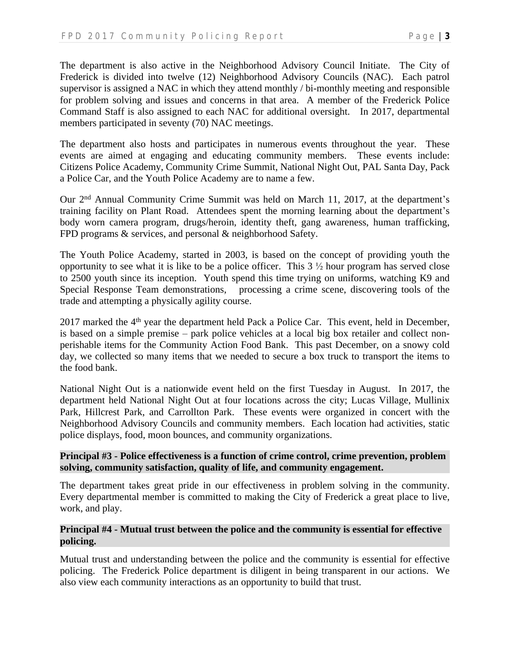The department is also active in the Neighborhood Advisory Council Initiate. The City of Frederick is divided into twelve (12) Neighborhood Advisory Councils (NAC). Each patrol supervisor is assigned a NAC in which they attend monthly / bi-monthly meeting and responsible for problem solving and issues and concerns in that area. A member of the Frederick Police Command Staff is also assigned to each NAC for additional oversight. In 2017, departmental members participated in seventy (70) NAC meetings.

The department also hosts and participates in numerous events throughout the year. These events are aimed at engaging and educating community members. These events include: Citizens Police Academy, Community Crime Summit, National Night Out, PAL Santa Day, Pack a Police Car, and the Youth Police Academy are to name a few.

Our 2<sup>nd</sup> Annual Community Crime Summit was held on March 11, 2017, at the department's training facility on Plant Road. Attendees spent the morning learning about the department's body worn camera program, drugs/heroin, identity theft, gang awareness, human trafficking, FPD programs  $&$  services, and personal  $&$  neighborhood Safety.

The Youth Police Academy, started in 2003, is based on the concept of providing youth the opportunity to see what it is like to be a police officer. This  $3\frac{1}{2}$  hour program has served close to 2500 youth since its inception. Youth spend this time trying on uniforms, watching K9 and Special Response Team demonstrations, processing a crime scene, discovering tools of the trade and attempting a physically agility course.

2017 marked the 4<sup>th</sup> year the department held Pack a Police Car. This event, held in December, is based on a simple premise – park police vehicles at a local big box retailer and collect nonperishable items for the Community Action Food Bank. This past December, on a snowy cold day, we collected so many items that we needed to secure a box truck to transport the items to the food bank.

National Night Out is a nationwide event held on the first Tuesday in August. In 2017, the department held National Night Out at four locations across the city; Lucas Village, Mullinix Park, Hillcrest Park, and Carrollton Park. These events were organized in concert with the Neighborhood Advisory Councils and community members. Each location had activities, static police displays, food, moon bounces, and community organizations.

### **Principal #3 - Police effectiveness is a function of crime control, crime prevention, problem solving, community satisfaction, quality of life, and community engagement.**

The department takes great pride in our effectiveness in problem solving in the community. Every departmental member is committed to making the City of Frederick a great place to live, work, and play.

## **Principal #4 - Mutual trust between the police and the community is essential for effective policing.**

Mutual trust and understanding between the police and the community is essential for effective policing. The Frederick Police department is diligent in being transparent in our actions. We also view each community interactions as an opportunity to build that trust.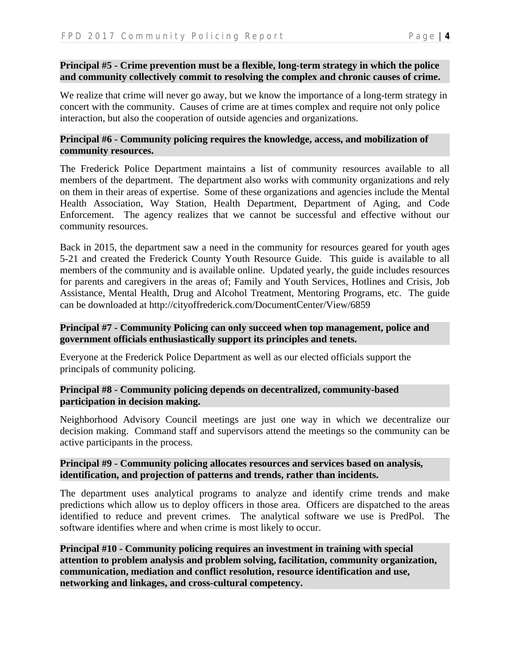### **Principal #5 - Crime prevention must be a flexible, long-term strategy in which the police and community collectively commit to resolving the complex and chronic causes of crime.**

We realize that crime will never go away, but we know the importance of a long-term strategy in concert with the community. Causes of crime are at times complex and require not only police interaction, but also the cooperation of outside agencies and organizations.

## **Principal #6 - Community policing requires the knowledge, access, and mobilization of community resources.**

The Frederick Police Department maintains a list of community resources available to all members of the department. The department also works with community organizations and rely on them in their areas of expertise. Some of these organizations and agencies include the Mental Health Association, Way Station, Health Department, Department of Aging, and Code Enforcement. The agency realizes that we cannot be successful and effective without our community resources.

Back in 2015, the department saw a need in the community for resources geared for youth ages 5-21 and created the Frederick County Youth Resource Guide. This guide is available to all members of the community and is available online. Updated yearly, the guide includes resources for parents and caregivers in the areas of; Family and Youth Services, Hotlines and Crisis, Job Assistance, Mental Health, Drug and Alcohol Treatment, Mentoring Programs, etc. The guide can be downloaded at<http://cityoffrederick.com/DocumentCenter/View/6859>

### **Principal #7 - Community Policing can only succeed when top management, police and government officials enthusiastically support its principles and tenets.**

Everyone at the Frederick Police Department as well as our elected officials support the principals of community policing.

### **Principal #8 - Community policing depends on decentralized, community-based participation in decision making.**

Neighborhood Advisory Council meetings are just one way in which we decentralize our decision making. Command staff and supervisors attend the meetings so the community can be active participants in the process.

### **Principal #9 - Community policing allocates resources and services based on analysis, identification, and projection of patterns and trends, rather than incidents.**

The department uses analytical programs to analyze and identify crime trends and make predictions which allow us to deploy officers in those area. Officers are dispatched to the areas identified to reduce and prevent crimes. The analytical software we use is PredPol. The software identifies where and when crime is most likely to occur.

**Principal #10 - Community policing requires an investment in training with special attention to problem analysis and problem solving, facilitation, community organization, communication, mediation and conflict resolution, resource identification and use, networking and linkages, and cross-cultural competency.**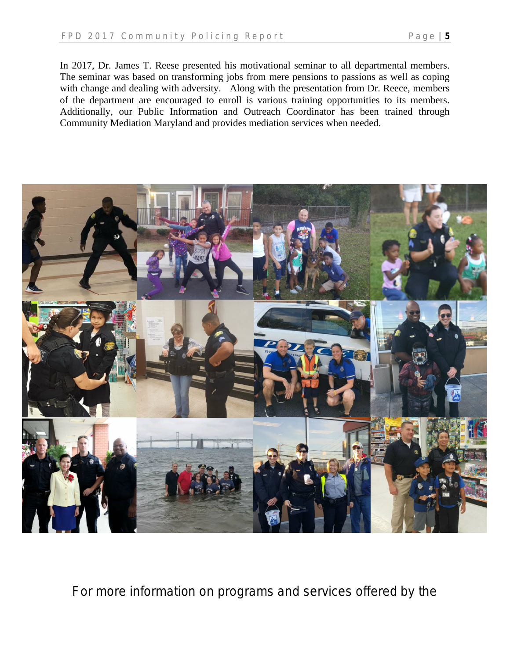In 2017, Dr. James T. Reese presented his motivational seminar to all departmental members. The seminar was based on transforming jobs from mere pensions to passions as well as coping with change and dealing with adversity. Along with the presentation from Dr. Reece, members of the department are encouraged to enroll is various training opportunities to its members. Additionally, our Public Information and Outreach Coordinator has been trained through Community Mediation Maryland and provides mediation services when needed.



For more information on programs and services offered by the